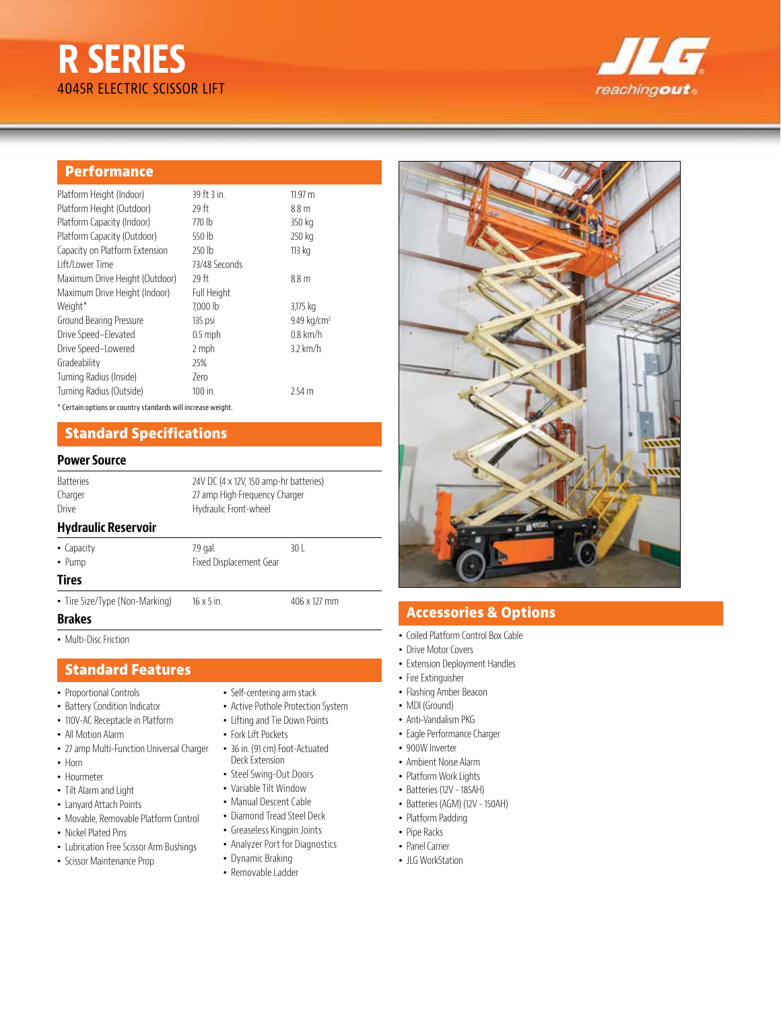# **R SERIES** 4045R ELECTRIC SCISSOR LIFT



## **Performance**

| Platform Height (Indoor)       | 39 ft 3 in.   | 11.97 m                 |
|--------------------------------|---------------|-------------------------|
| Platform Height (Outdoor)      | 29 ft         | 8.8 <sub>m</sub>        |
| Platform Capacity (Indoor)     | 770 lb        | 350 kg                  |
| Platform Capacity (Outdoor)    | 550 lb        | 250 kg                  |
| Capacity on Platform Extension | 250 lb        | 113 kg                  |
| Lift/Lower Time                | 73/48 Seconds |                         |
| Maximum Drive Height (Outdoor) | 29 ft         | 8.8 <sub>m</sub>        |
| Maximum Drive Height (Indoor)  | Full Height   |                         |
| Weight*                        | 7.000 lb      | 3,175 kg                |
| Ground Bearing Pressure        | 135 psi       | 9.49 kg/cm <sup>2</sup> |
| Drive Speed-Elevated           | $0.5$ mph     | $0.8$ km/h              |
| Drive Speed-Lowered            | 2 mph         | $3.2$ km/h              |
| Gradeability                   | 25%           |                         |
| Turning Radius (Inside)        | 7ero          |                         |
| Turning Radius (Outside)       | 100 in.       | 2.54 <sub>m</sub>       |

\* Certain options or country standards will increase weight.

# **Standard Specifications**

## **Power Source**

Batteries 24V DC (4 x 12V, 150 amp-hr batteries) Charger 27 amp High Frequency Charger Drive Hydraulic Front-wheel **Hydraulic Reservoir** 

• Capacity 7.9 gal. 30 L • Pump Fixed Displacement Gear

#### **Tires**

• Tire Size/Type (Non-Marking) 16 x 5 in. 406 x 127 mm

#### **Brakes**

• Multi-Disc Friction

## **Standard Features**

- Proportional Controls
- Battery Condition Indicator
- 110V-AC Receptacle in Platform
- All Motion Alarm
- 27 amp Multi-Function Universal Charger
- Horn
- Hourmeter
- Tilt Alarm and Light
- Lanyard Attach Points
- Movable, Removable Platform Control
- Nickel Plated Pins
- Lubrication Free Scissor Arm Bushings
- Scissor Maintenance Prop
- Self-centering arm stack
- Active Pothole Protection System
- Lifting and Tie Down Points
- Fork Lift Pockets
- 36 in. (91 cm) Foot-Actuated Deck Extension
- Steel Swing-Out Doors
- Variable Tilt Window
- Manual Descent Cable
- Diamond Tread Steel Deck
- Greaseless Kingpin Joints
- Analyzer Port for Diagnostics
- Dynamic Braking
- Removable Ladder



# **Accessories & Options**

- Coiled Platform Control Box Cable
- Drive Motor Covers
- Extension Deployment Handles
- Fire Extinguisher
- Flashing Amber Beacon
- MDI (Ground)
- Anti-Vandalism PKG
- Eagle Performance Charger
- 900W Inverter
- Ambient Noise Alarm
- Platform Work Lights
- Batteries (12V 185AH)
- Batteries (AGM) (12V 150AH)
- Platform Padding
- Pipe Racks
- Panel Carrier
- ILG WorkStation